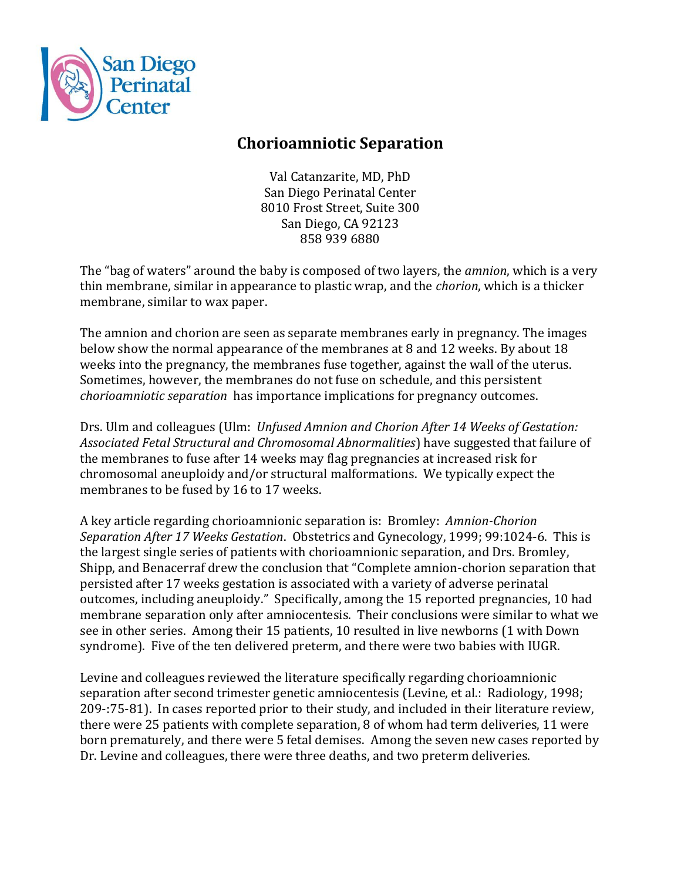

## **Chorioamniotic Separation**

Val Catanzarite, MD, PhD San Diego Perinatal Center 8010 Frost Street, Suite 300 San Diego, CA 92123 858 939 6880

The "bag of waters" around the baby is composed of two layers, the *amnion*, which is a very thin membrane, similar in appearance to plastic wrap, and the *chorion*, which is a thicker membrane, similar to wax paper.

The amnion and chorion are seen as separate membranes early in pregnancy. The images below show the normal appearance of the membranes at 8 and 12 weeks. By about 18 weeks into the pregnancy, the membranes fuse together, against the wall of the uterus. Sometimes, however, the membranes do not fuse on schedule, and this persistent *chorioamniotic separation* has importance implications for pregnancy outcomes.

Drs. Ulm and colleagues (Ulm: *Unfused Amnion and Chorion After 14 Weeks of Gestation: Associated Fetal Structural and Chromosomal Abnormalities*) have suggested that failure of the membranes to fuse after 14 weeks may flag pregnancies at increased risk for chromosomal aneuploidy and/or structural malformations. We typically expect the membranes to be fused by 16 to 17 weeks.

A key article regarding chorioamnionic separation is: Bromley: *Amnion-Chorion Separation After 17 Weeks Gestation*. Obstetrics and Gynecology, 1999; 99:1024-6. This is the largest single series of patients with chorioamnionic separation, and Drs. Bromley, Shipp, and Benacerraf drew the conclusion that "Complete amnion-chorion separation that persisted after 17 weeks gestation is associated with a variety of adverse perinatal outcomes, including aneuploidy." Specifically, among the 15 reported pregnancies, 10 had membrane separation only after amniocentesis. Their conclusions were similar to what we see in other series. Among their 15 patients, 10 resulted in live newborns (1 with Down syndrome). Five of the ten delivered preterm, and there were two babies with IUGR.

Levine and colleagues reviewed the literature specifically regarding chorioamnionic separation after second trimester genetic amniocentesis (Levine, et al.: Radiology, 1998; 209-:75-81). In cases reported prior to their study, and included in their literature review, there were 25 patients with complete separation, 8 of whom had term deliveries, 11 were born prematurely, and there were 5 fetal demises. Among the seven new cases reported by Dr. Levine and colleagues, there were three deaths, and two preterm deliveries.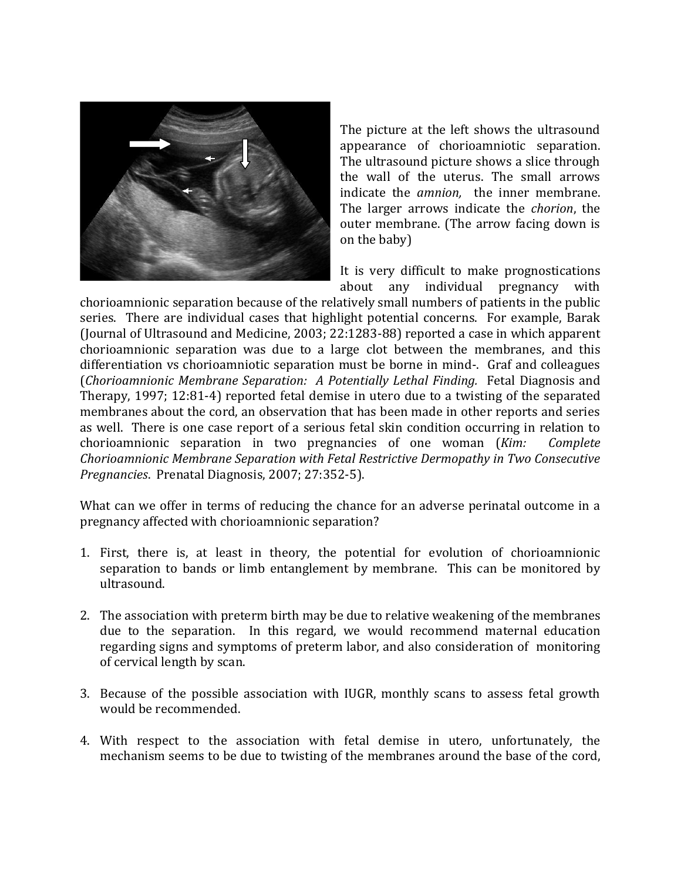

The picture at the left shows the ultrasound appearance of chorioamniotic separation. The ultrasound picture shows a slice through the wall of the uterus. The small arrows indicate the *amnion,* the inner membrane. The larger arrows indicate the *chorion*, the outer membrane. (The arrow facing down is on the baby)

It is very difficult to make prognostications about any individual pregnancy with

chorioamnionic separation because of the relatively small numbers of patients in the public series. There are individual cases that highlight potential concerns. For example, Barak (Journal of Ultrasound and Medicine, 2003; 22:1283-88) reported a case in which apparent chorioamnionic separation was due to a large clot between the membranes, and this differentiation vs chorioamniotic separation must be borne in mind-. Graf and colleagues (*Chorioamnionic Membrane Separation: A Potentially Lethal Finding.* Fetal Diagnosis and Therapy, 1997; 12:81-4) reported fetal demise in utero due to a twisting of the separated membranes about the cord, an observation that has been made in other reports and series as well. There is one case report of a serious fetal skin condition occurring in relation to chorioamnionic separation in two pregnancies of one woman (*Kim: Complete Chorioamnionic Membrane Separation with Fetal Restrictive Dermopathy in Two Consecutive Pregnancies*. Prenatal Diagnosis, 2007; 27:352-5).

What can we offer in terms of reducing the chance for an adverse perinatal outcome in a pregnancy affected with chorioamnionic separation?

- 1. First, there is, at least in theory, the potential for evolution of chorioamnionic separation to bands or limb entanglement by membrane. This can be monitored by ultrasound.
- 2. The association with preterm birth may be due to relative weakening of the membranes due to the separation. In this regard, we would recommend maternal education regarding signs and symptoms of preterm labor, and also consideration of monitoring of cervical length by scan.
- 3. Because of the possible association with IUGR, monthly scans to assess fetal growth would be recommended.
- 4. With respect to the association with fetal demise in utero, unfortunately, the mechanism seems to be due to twisting of the membranes around the base of the cord,